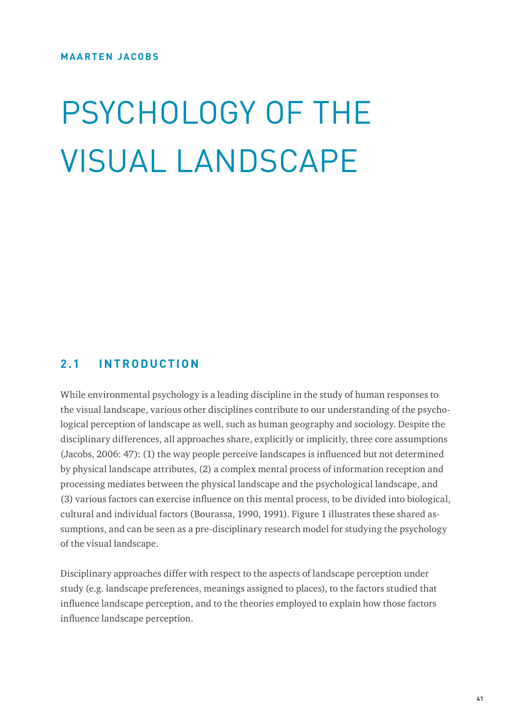# PSYCHOLOGY OF THE VISUAL LANDSCAPE

#### **2.1 INTRODUCTION**

While environmental psychology is a leading discipline in the study of human responses to the visual landscape, various other disciplines contribute to our understanding of the psychological perception of landscape as well, such as human geography and sociology. Despite the disciplinary differences, all approaches share, explicitly or implicitly, three core assumptions  $(Jacobs, 2006; 47)$ : (1) the way people perceive landscapes is influenced but not determined by physical landscape attributes, (2) a complex mental process of information reception and processing mediates between the physical landscape and the psychological landscape, and (3) various factors can exercise influence on this mental process, to be divided into biological, cultural and individual factors (Bourassa, 1990, 1991). Figure 1 illustrates these shared assumptions, and can be seen as a pre-disciplinary research model for studying the psychology of the visual landscape.

Disciplinary approaches differ with respect to the aspects of landscape perception under study (e.g. landscape preferences, meanings assigned to places), to the factors studied that influence landscape perception, and to the theories employed to explain how those factors influence landscape perception.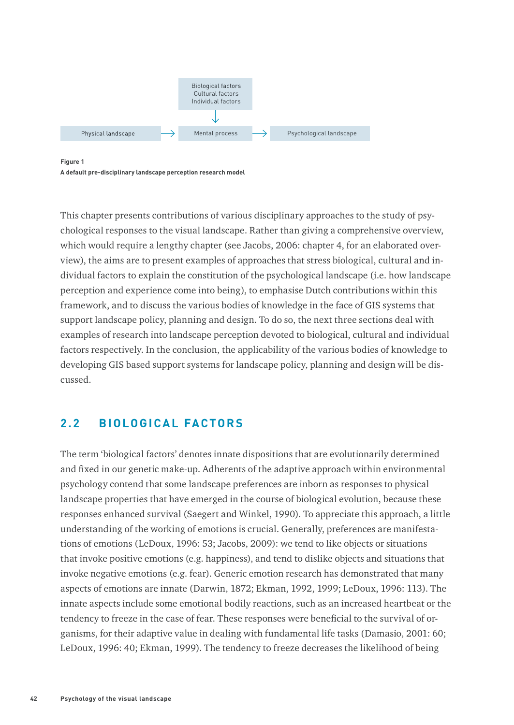

**Figure 1 A default pre-disciplinary landscape perception research model** 

This chapter presents contributions of various disciplinary approaches to the study of psychological responses to the visual landscape. Rather than giving a comprehensive overview, which would require a lengthy chapter (see Jacobs, 2006: chapter 4, for an elaborated overview), the aims are to present examples of approaches that stress biological, cultural and individual factors to explain the constitution of the psychological landscape (i.e. how landscape perception and experience come into being), to emphasise Dutch contributions within this framework, and to discuss the various bodies of knowledge in the face of GIS systems that support landscape policy, planning and design. To do so, the next three sections deal with examples of research into landscape perception devoted to biological, cultural and individual factors respectively. In the conclusion, the applicability of the various bodies of knowledge to developing GIS based support systems for landscape policy, planning and design will be discussed.

# **2.2 BIOLOGICAL FACTORS**

The term 'biological factors' denotes innate dispositions that are evolutionarily determined and fixed in our genetic make-up. Adherents of the adaptive approach within environmental psychology contend that some landscape preferences are inborn as responses to physical landscape properties that have emerged in the course of biological evolution, because these responses enhanced survival (Saegert and Winkel, 1990). To appreciate this approach, a little understanding of the working of emotions is crucial. Generally, preferences are manifestations of emotions (LeDoux, 1996: 53; Jacobs, 2009): we tend to like objects or situations that invoke positive emotions (e.g. happiness), and tend to dislike objects and situations that invoke negative emotions (e.g. fear). Generic emotion research has demonstrated that many aspects of emotions are innate (Darwin, 1872; Ekman, 1992, 1999; LeDoux, 1996: 113). The innate aspects include some emotional bodily reactions, such as an increased heartbeat or the tendency to freeze in the case of fear. These responses were beneficial to the survival of organisms, for their adaptive value in dealing with fundamental life tasks (Damasio, 2001: 60; LeDoux, 1996: 40; Ekman, 1999). The tendency to freeze decreases the likelihood of being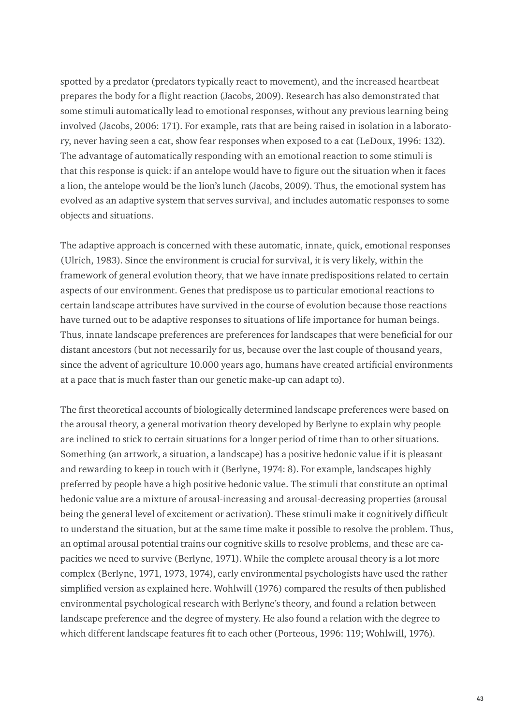spotted by a predator (predators typically react to movement), and the increased heartbeat prepares the body for a flight reaction (Jacobs, 2009). Research has also demonstrated that some stimuli automatically lead to emotional responses, without any previous learning being involved (Jacobs, 2006: 171). For example, rats that are being raised in isolation in a laboratory, never having seen a cat, show fear responses when exposed to a cat (LeDoux, 1996: 132). The advantage of automatically responding with an emotional reaction to some stimuli is that this response is quick: if an antelope would have to figure out the situation when it faces a lion, the antelope would be the lion's lunch (Jacobs, 2009). Thus, the emotional system has evolved as an adaptive system that serves survival, and includes automatic responses to some objects and situations.

The adaptive approach is concerned with these automatic, innate, quick, emotional responses (Ulrich, 1983). Since the environment is crucial for survival, it is very likely, within the framework of general evolution theory, that we have innate predispositions related to certain aspects of our environment. Genes that predispose us to particular emotional reactions to certain landscape attributes have survived in the course of evolution because those reactions have turned out to be adaptive responses to situations of life importance for human beings. Thus, innate landscape preferences are preferences for landscapes that were beneficial for our distant ancestors (but not necessarily for us, because over the last couple of thousand years, since the advent of agriculture 10.000 years ago, humans have created artificial environments at a pace that is much faster than our genetic make-up can adapt to).

The first theoretical accounts of biologically determined landscape preferences were based on the arousal theory, a general motivation theory developed by Berlyne to explain why people are inclined to stick to certain situations for a longer period of time than to other situations. Something (an artwork, a situation, a landscape) has a positive hedonic value if it is pleasant and rewarding to keep in touch with it (Berlyne, 1974: 8). For example, landscapes highly preferred by people have a high positive hedonic value. The stimuli that constitute an optimal hedonic value are a mixture of arousal-increasing and arousal-decreasing properties (arousal being the general level of excitement or activation). These stimuli make it cognitively difficult to understand the situation, but at the same time make it possible to resolve the problem. Thus, an optimal arousal potential trains our cognitive skills to resolve problems, and these are capacities we need to survive (Berlyne, 1971). While the complete arousal theory is a lot more complex (Berlyne, 1971, 1973, 1974), early environmental psychologists have used the rather simplified version as explained here. Wohlwill (1976) compared the results of then published environmental psychological research with Berlyne's theory, and found a relation between landscape preference and the degree of mystery. He also found a relation with the degree to which different landscape features fit to each other (Porteous, 1996: 119; Wohlwill, 1976).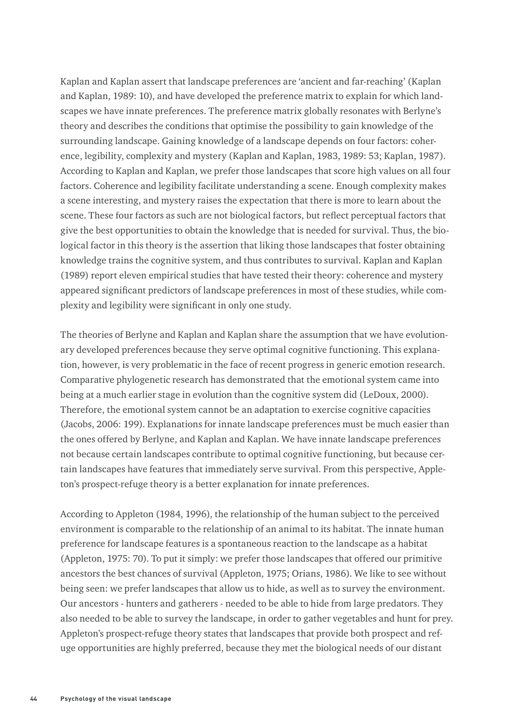Kaplan and Kaplan assert that landscape preferences are 'ancient and far-reaching' (Kaplan and Kaplan, 1989: 10), and have developed the preference matrix to explain for which landscapes we have innate preferences. The preference matrix globally resonates with Berlyne's theory and describes the conditions that optimise the possibility to gain knowledge of the surrounding landscape. Gaining knowledge of a landscape depends on four factors: coherence, legibility, complexity and mystery (Kaplan and Kaplan, 1983, 1989: 53; Kaplan, 1987). According to Kaplan and Kaplan, we prefer those landscapes that score high values on all four factors. Coherence and legibility facilitate understanding a scene. Enough complexity makes a scene interesting, and mystery raises the expectation that there is more to learn about the scene. These four factors as such are not biological factors, but reflect perceptual factors that give the best opportunities to obtain the knowledge that is needed for survival. Thus, the biological factor in this theory is the assertion that liking those landscapes that foster obtaining knowledge trains the cognitive system, and thus contributes to survival. Kaplan and Kaplan (1989) report eleven empirical studies that have tested their theory: coherence and mystery appeared significant predictors of landscape preferences in most of these studies, while complexity and legibility were significant in only one study.

The theories of Berlyne and Kaplan and Kaplan share the assumption that we have evolutionary developed preferences because they serve optimal cognitive functioning. This explanation, however, is very problematic in the face of recent progress in generic emotion research. Comparative phylogenetic research has demonstrated that the emotional system came into being at a much earlier stage in evolution than the cognitive system did (LeDoux, 2000). Therefore, the emotional system cannot be an adaptation to exercise cognitive capacities (Jacobs, 2006: 199). Explanations for innate landscape preferences must be much easier than the ones offered by Berlyne, and Kaplan and Kaplan. We have innate landscape preferences not because certain landscapes contribute to optimal cognitive functioning, but because certain landscapes have features that immediately serve survival. From this perspective, Appleton's prospect-refuge theory is a better explanation for innate preferences.

According to Appleton (1984, 1996), the relationship of the human subject to the perceived environment is comparable to the relationship of an animal to its habitat. The innate human preference for landscape features is a spontaneous reaction to the landscape as a habitat (Appleton, 1975: 70). To put it simply: we prefer those landscapes that offered our primitive ancestors the best chances of survival (Appleton, 1975; Orians, 1986). We like to see without being seen: we prefer landscapes that allow us to hide, as well as to survey the environment. Our ancestors - hunters and gatherers - needed to be able to hide from large predators. They also needed to be able to survey the landscape, in order to gather vegetables and hunt for prey. Appleton's prospect-refuge theory states that landscapes that provide both prospect and refuge opportunities are highly preferred, because they met the biological needs of our distant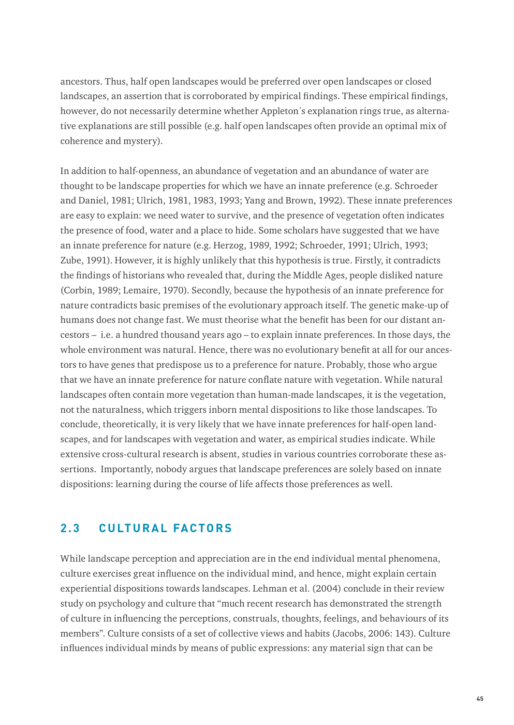ancestors. Thus, half open landscapes would be preferred over open landscapes or closed landscapes, an assertion that is corroborated by empirical findings. These empirical findings, however, do not necessarily determine whether Appleton´s explanation rings true, as alternative explanations are still possible (e.g. half open landscapes often provide an optimal mix of coherence and mystery).

In addition to half-openness, an abundance of vegetation and an abundance of water are thought to be landscape properties for which we have an innate preference (e.g. Schroeder and Daniel, 1981; Ulrich, 1981, 1983, 1993; Yang and Brown, 1992). These innate preferences are easy to explain: we need water to survive, and the presence of vegetation often indicates the presence of food, water and a place to hide. Some scholars have suggested that we have an innate preference for nature (e.g. Herzog, 1989, 1992; Schroeder, 1991; Ulrich, 1993; Zube, 1991). However, it is highly unlikely that this hypothesis is true. Firstly, it contradicts the findings of historians who revealed that, during the Middle Ages, people disliked nature (Corbin, 1989; Lemaire, 1970). Secondly, because the hypothesis of an innate preference for nature contradicts basic premises of the evolutionary approach itself. The genetic make-up of humans does not change fast. We must theorise what the benefit has been for our distant ancestors – i.e. a hundred thousand years ago – to explain innate preferences. In those days, the whole environment was natural. Hence, there was no evolutionary benefit at all for our ancestors to have genes that predispose us to a preference for nature. Probably, those who argue that we have an innate preference for nature conflate nature with vegetation. While natural landscapes often contain more vegetation than human-made landscapes, it is the vegetation, not the naturalness, which triggers inborn mental dispositions to like those landscapes. To conclude, theoretically, it is very likely that we have innate preferences for half-open landscapes, and for landscapes with vegetation and water, as empirical studies indicate. While extensive cross-cultural research is absent, studies in various countries corroborate these assertions. Importantly, nobody argues that landscape preferences are solely based on innate dispositions: learning during the course of life affects those preferences as well.

## **2.3 CULTURAL FACTORS**

While landscape perception and appreciation are in the end individual mental phenomena, culture exercises great influence on the individual mind, and hence, might explain certain experiential dispositions towards landscapes. Lehman et al. (2004) conclude in their review study on psychology and culture that "much recent research has demonstrated the strength of culture in influencing the perceptions, construals, thoughts, feelings, and behaviours of its members". Culture consists of a set of collective views and habits (Jacobs, 2006: 143). Culture influences individual minds by means of public expressions: any material sign that can be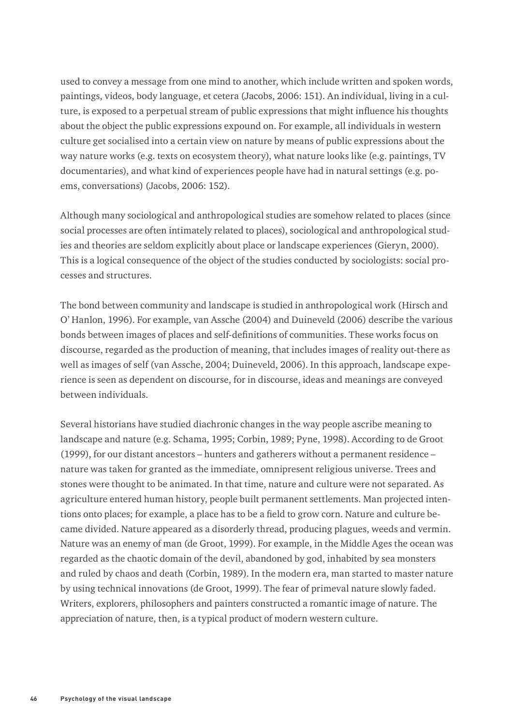used to convey a message from one mind to another, which include written and spoken words, paintings, videos, body language, et cetera (Jacobs, 2006: 151). An individual, living in a culture, is exposed to a perpetual stream of public expressions that might influence his thoughts about the object the public expressions expound on. For example, all individuals in western culture get socialised into a certain view on nature by means of public expressions about the way nature works (e.g. texts on ecosystem theory), what nature looks like (e.g. paintings, TV documentaries), and what kind of experiences people have had in natural settings (e.g. poems, conversations) (Jacobs, 2006: 152).

Although many sociological and anthropological studies are somehow related to places (since social processes are often intimately related to places), sociological and anthropological studies and theories are seldom explicitly about place or landscape experiences (Gieryn, 2000). This is a logical consequence of the object of the studies conducted by sociologists: social processes and structures.

The bond between community and landscape is studied in anthropological work (Hirsch and O' Hanlon, 1996). For example, van Assche (2004) and Duineveld (2006) describe the various bonds between images of places and self-definitions of communities. These works focus on discourse, regarded as the production of meaning, that includes images of reality out-there as well as images of self (van Assche, 2004; Duineveld, 2006). In this approach, landscape experience is seen as dependent on discourse, for in discourse, ideas and meanings are conveyed between individuals.

Several historians have studied diachronic changes in the way people ascribe meaning to landscape and nature (e.g. Schama, 1995; Corbin, 1989; Pyne, 1998). According to de Groot (1999), for our distant ancestors – hunters and gatherers without a permanent residence – nature was taken for granted as the immediate, omnipresent religious universe. Trees and stones were thought to be animated. In that time, nature and culture were not separated. As agriculture entered human history, people built permanent settlements. Man projected intentions onto places; for example, a place has to be a field to grow corn. Nature and culture became divided. Nature appeared as a disorderly thread, producing plagues, weeds and vermin. Nature was an enemy of man (de Groot, 1999). For example, in the Middle Ages the ocean was regarded as the chaotic domain of the devil, abandoned by god, inhabited by sea monsters and ruled by chaos and death (Corbin, 1989). In the modern era, man started to master nature by using technical innovations (de Groot, 1999). The fear of primeval nature slowly faded. Writers, explorers, philosophers and painters constructed a romantic image of nature. The appreciation of nature, then, is a typical product of modern western culture.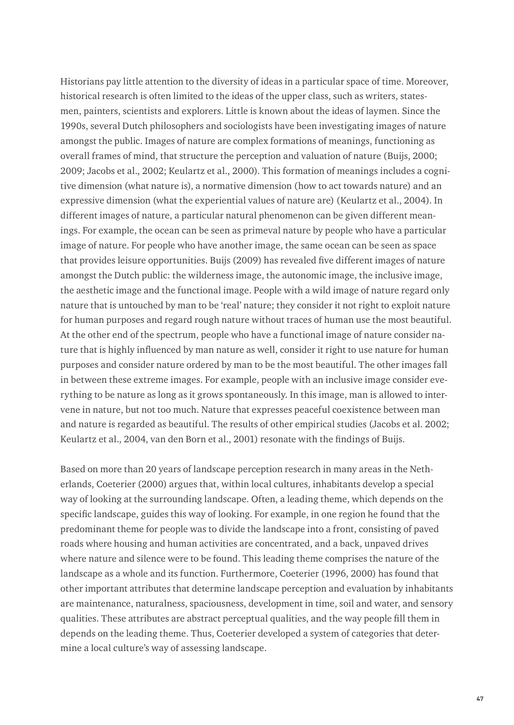Historians pay little attention to the diversity of ideas in a particular space of time. Moreover, historical research is often limited to the ideas of the upper class, such as writers, statesmen, painters, scientists and explorers. Little is known about the ideas of laymen. Since the 1990s, several Dutch philosophers and sociologists have been investigating images of nature amongst the public. Images of nature are complex formations of meanings, functioning as overall frames of mind, that structure the perception and valuation of nature (Buijs, 2000; 2009; Jacobs et al., 2002; Keulartz et al., 2000). This formation of meanings includes a cognitive dimension (what nature is), a normative dimension (how to act towards nature) and an expressive dimension (what the experiential values of nature are) (Keulartz et al., 2004). In different images of nature, a particular natural phenomenon can be given different meanings. For example, the ocean can be seen as primeval nature by people who have a particular image of nature. For people who have another image, the same ocean can be seen as space that provides leisure opportunities. Buijs (2009) has revealed five different images of nature amongst the Dutch public: the wilderness image, the autonomic image, the inclusive image, the aesthetic image and the functional image. People with a wild image of nature regard only nature that is untouched by man to be 'real' nature; they consider it not right to exploit nature for human purposes and regard rough nature without traces of human use the most beautiful. At the other end of the spectrum, people who have a functional image of nature consider nature that is highly influenced by man nature as well, consider it right to use nature for human purposes and consider nature ordered by man to be the most beautiful. The other images fall in between these extreme images. For example, people with an inclusive image consider everything to be nature as long as it grows spontaneously. In this image, man is allowed to intervene in nature, but not too much. Nature that expresses peaceful coexistence between man and nature is regarded as beautiful. The results of other empirical studies (Jacobs et al. 2002; Keulartz et al., 2004, van den Born et al., 2001) resonate with the findings of Buijs.

Based on more than 20 years of landscape perception research in many areas in the Netherlands, Coeterier (2000) argues that, within local cultures, inhabitants develop a special way of looking at the surrounding landscape. Often, a leading theme, which depends on the specific landscape, guides this way of looking. For example, in one region he found that the predominant theme for people was to divide the landscape into a front, consisting of paved roads where housing and human activities are concentrated, and a back, unpaved drives where nature and silence were to be found. This leading theme comprises the nature of the landscape as a whole and its function. Furthermore, Coeterier (1996, 2000) has found that other important attributes that determine landscape perception and evaluation by inhabitants are maintenance, naturalness, spaciousness, development in time, soil and water, and sensory qualities. These attributes are abstract perceptual qualities, and the way people fill them in depends on the leading theme. Thus, Coeterier developed a system of categories that determine a local culture's way of assessing landscape.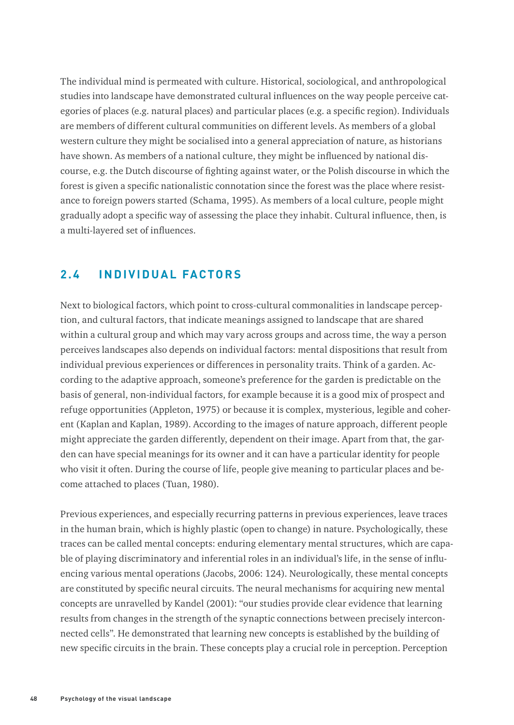The individual mind is permeated with culture. Historical, sociological, and anthropological studies into landscape have demonstrated cultural influences on the way people perceive categories of places (e.g. natural places) and particular places (e.g. a specific region). Individuals are members of different cultural communities on different levels. As members of a global western culture they might be socialised into a general appreciation of nature, as historians have shown. As members of a national culture, they might be influenced by national discourse, e.g. the Dutch discourse of fighting against water, or the Polish discourse in which the forest is given a specific nationalistic connotation since the forest was the place where resistance to foreign powers started (Schama, 1995). As members of a local culture, people might gradually adopt a specific way of assessing the place they inhabit. Cultural influence, then, is a multi-layered set of influences.

# **2.4 INDIVIDUAL FACTORS**

Next to biological factors, which point to cross-cultural commonalities in landscape perception, and cultural factors, that indicate meanings assigned to landscape that are shared within a cultural group and which may vary across groups and across time, the way a person perceives landscapes also depends on individual factors: mental dispositions that result from individual previous experiences or differences in personality traits. Think of a garden. According to the adaptive approach, someone's preference for the garden is predictable on the basis of general, non-individual factors, for example because it is a good mix of prospect and refuge opportunities (Appleton, 1975) or because it is complex, mysterious, legible and coherent (Kaplan and Kaplan, 1989). According to the images of nature approach, different people might appreciate the garden differently, dependent on their image. Apart from that, the garden can have special meanings for its owner and it can have a particular identity for people who visit it often. During the course of life, people give meaning to particular places and become attached to places (Tuan, 1980).

Previous experiences, and especially recurring patterns in previous experiences, leave traces in the human brain, which is highly plastic (open to change) in nature. Psychologically, these traces can be called mental concepts: enduring elementary mental structures, which are capable of playing discriminatory and inferential roles in an individual's life, in the sense of influencing various mental operations (Jacobs, 2006: 124). Neurologically, these mental concepts are constituted by specific neural circuits. The neural mechanisms for acquiring new mental concepts are unravelled by Kandel (2001): "our studies provide clear evidence that learning results from changes in the strength of the synaptic connections between precisely interconnected cells". He demonstrated that learning new concepts is established by the building of new specific circuits in the brain. These concepts play a crucial role in perception. Perception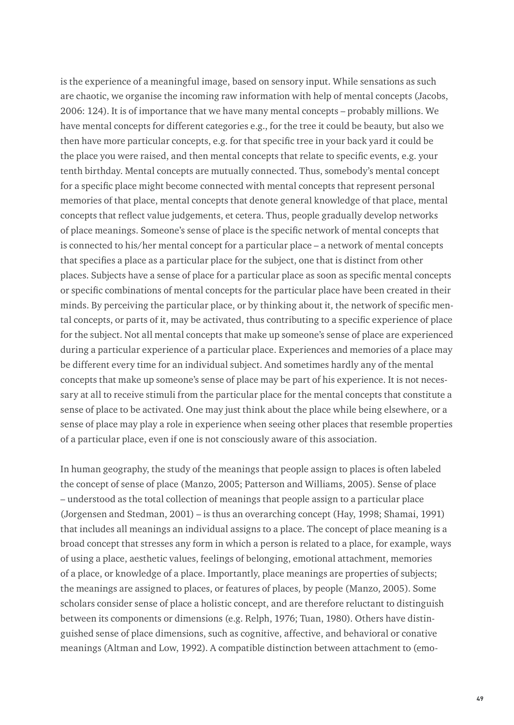is the experience of a meaningful image, based on sensory input. While sensations as such are chaotic, we organise the incoming raw information with help of mental concepts (Jacobs, 2006: 124). It is of importance that we have many mental concepts – probably millions. We have mental concepts for different categories e.g., for the tree it could be beauty, but also we then have more particular concepts, e.g. for that specific tree in your back yard it could be the place you were raised, and then mental concepts that relate to specific events, e.g. your tenth birthday. Mental concepts are mutually connected. Thus, somebody's mental concept for a specific place might become connected with mental concepts that represent personal memories of that place, mental concepts that denote general knowledge of that place, mental concepts that reflect value judgements, et cetera. Thus, people gradually develop networks of place meanings. Someone's sense of place is the specific network of mental concepts that is connected to his/her mental concept for a particular place – a network of mental concepts that specifies a place as a particular place for the subject, one that is distinct from other places. Subjects have a sense of place for a particular place as soon as specific mental concepts or specific combinations of mental concepts for the particular place have been created in their minds. By perceiving the particular place, or by thinking about it, the network of specific mental concepts, or parts of it, may be activated, thus contributing to a specific experience of place for the subject. Not all mental concepts that make up someone's sense of place are experienced during a particular experience of a particular place. Experiences and memories of a place may be different every time for an individual subject. And sometimes hardly any of the mental concepts that make up someone's sense of place may be part of his experience. It is not necessary at all to receive stimuli from the particular place for the mental concepts that constitute a sense of place to be activated. One may just think about the place while being elsewhere, or a sense of place may play a role in experience when seeing other places that resemble properties of a particular place, even if one is not consciously aware of this association.

In human geography, the study of the meanings that people assign to places is often labeled the concept of sense of place (Manzo, 2005; Patterson and Williams, 2005). Sense of place – understood as the total collection of meanings that people assign to a particular place (Jorgensen and Stedman, 2001) – is thus an overarching concept (Hay, 1998; Shamai, 1991) that includes all meanings an individual assigns to a place. The concept of place meaning is a broad concept that stresses any form in which a person is related to a place, for example, ways of using a place, aesthetic values, feelings of belonging, emotional attachment, memories of a place, or knowledge of a place. Importantly, place meanings are properties of subjects; the meanings are assigned to places, or features of places, by people (Manzo, 2005). Some scholars consider sense of place a holistic concept, and are therefore reluctant to distinguish between its components or dimensions (e.g. Relph, 1976; Tuan, 1980). Others have distinguished sense of place dimensions, such as cognitive, affective, and behavioral or conative meanings (Altman and Low, 1992). A compatible distinction between attachment to (emo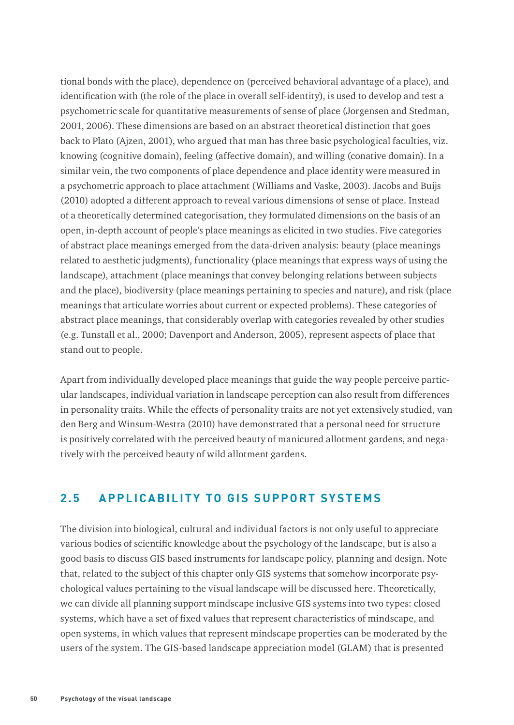tional bonds with the place), dependence on (perceived behavioral advantage of a place), and identification with (the role of the place in overall self-identity), is used to develop and test a psychometric scale for quantitative measurements of sense of place (Jorgensen and Stedman, 2001, 2006). These dimensions are based on an abstract theoretical distinction that goes back to Plato (Ajzen, 2001), who argued that man has three basic psychological faculties, viz. knowing (cognitive domain), feeling (affective domain), and willing (conative domain). In a similar vein, the two components of place dependence and place identity were measured in a psychometric approach to place attachment (Williams and Vaske, 2003). Jacobs and Buijs (2010) adopted a different approach to reveal various dimensions of sense of place. Instead of a theoretically determined categorisation, they formulated dimensions on the basis of an open, in-depth account of people's place meanings as elicited in two studies. Five categories of abstract place meanings emerged from the data-driven analysis: beauty (place meanings related to aesthetic judgments), functionality (place meanings that express ways of using the landscape), attachment (place meanings that convey belonging relations between subjects and the place), biodiversity (place meanings pertaining to species and nature), and risk (place meanings that articulate worries about current or expected problems). These categories of abstract place meanings, that considerably overlap with categories revealed by other studies (e.g. Tunstall et al., 2000; Davenport and Anderson, 2005), represent aspects of place that stand out to people.

Apart from individually developed place meanings that guide the way people perceive particular landscapes, individual variation in landscape perception can also result from differences in personality traits. While the effects of personality traits are not yet extensively studied, van den Berg and Winsum-Westra (2010) have demonstrated that a personal need for structure is positively correlated with the perceived beauty of manicured allotment gardens, and negatively with the perceived beauty of wild allotment gardens.

## **2.5 APPLICABILITY TO GIS SUPPORT SYSTEMS**

The division into biological, cultural and individual factors is not only useful to appreciate various bodies of scientific knowledge about the psychology of the landscape, but is also a good basis to discuss GIS based instruments for landscape policy, planning and design. Note that, related to the subject of this chapter only GIS systems that somehow incorporate psychological values pertaining to the visual landscape will be discussed here. Theoretically, we can divide all planning support mindscape inclusive GIS systems into two types: closed systems, which have a set of fixed values that represent characteristics of mindscape, and open systems, in which values that represent mindscape properties can be moderated by the users of the system. The GIS-based landscape appreciation model (GLAM) that is presented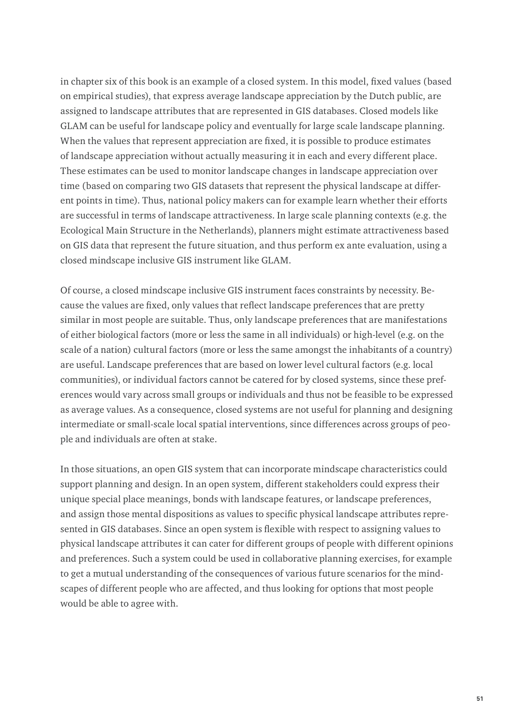in chapter six of this book is an example of a closed system. In this model, fixed values (based on empirical studies), that express average landscape appreciation by the Dutch public, are assigned to landscape attributes that are represented in GIS databases. Closed models like GLAM can be useful for landscape policy and eventually for large scale landscape planning. When the values that represent appreciation are fixed, it is possible to produce estimates of landscape appreciation without actually measuring it in each and every different place. These estimates can be used to monitor landscape changes in landscape appreciation over time (based on comparing two GIS datasets that represent the physical landscape at different points in time). Thus, national policy makers can for example learn whether their efforts are successful in terms of landscape attractiveness. In large scale planning contexts (e.g. the Ecological Main Structure in the Netherlands), planners might estimate attractiveness based on GIS data that represent the future situation, and thus perform ex ante evaluation, using a closed mindscape inclusive GIS instrument like GLAM.

Of course, a closed mindscape inclusive GIS instrument faces constraints by necessity. Because the values are fixed, only values that reflect landscape preferences that are pretty similar in most people are suitable. Thus, only landscape preferences that are manifestations of either biological factors (more or less the same in all individuals) or high-level (e.g. on the scale of a nation) cultural factors (more or less the same amongst the inhabitants of a country) are useful. Landscape preferences that are based on lower level cultural factors (e.g. local communities), or individual factors cannot be catered for by closed systems, since these preferences would vary across small groups or individuals and thus not be feasible to be expressed as average values. As a consequence, closed systems are not useful for planning and designing intermediate or small-scale local spatial interventions, since differences across groups of people and individuals are often at stake.

In those situations, an open GIS system that can incorporate mindscape characteristics could support planning and design. In an open system, different stakeholders could express their unique special place meanings, bonds with landscape features, or landscape preferences, and assign those mental dispositions as values to specific physical landscape attributes represented in GIS databases. Since an open system is flexible with respect to assigning values to physical landscape attributes it can cater for different groups of people with different opinions and preferences. Such a system could be used in collaborative planning exercises, for example to get a mutual understanding of the consequences of various future scenarios for the mindscapes of different people who are affected, and thus looking for options that most people would be able to agree with.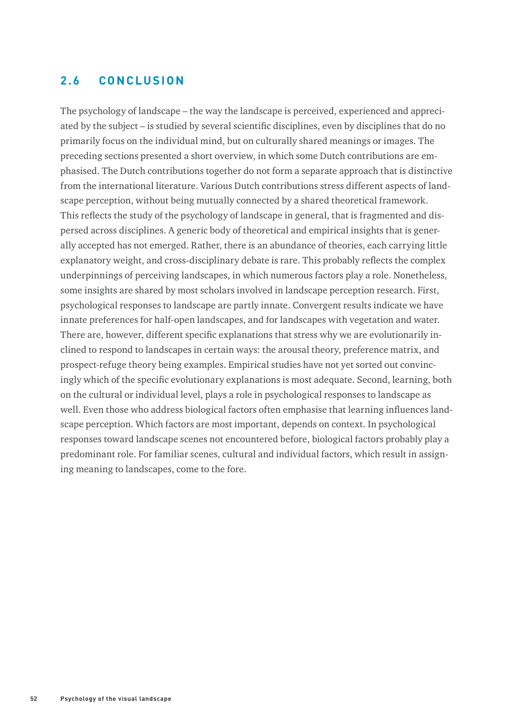# **2.6 CONCLUSION**

The psychology of landscape – the way the landscape is perceived, experienced and appreciated by the subject – is studied by several scientific disciplines, even by disciplines that do no primarily focus on the individual mind, but on culturally shared meanings or images. The preceding sections presented a short overview, in which some Dutch contributions are emphasised. The Dutch contributions together do not form a separate approach that is distinctive from the international literature. Various Dutch contributions stress different aspects of landscape perception, without being mutually connected by a shared theoretical framework. This reflects the study of the psychology of landscape in general, that is fragmented and dispersed across disciplines. A generic body of theoretical and empirical insights that is generally accepted has not emerged. Rather, there is an abundance of theories, each carrying little explanatory weight, and cross-disciplinary debate is rare. This probably reflects the complex underpinnings of perceiving landscapes, in which numerous factors play a role. Nonetheless, some insights are shared by most scholars involved in landscape perception research. First, psychological responses to landscape are partly innate. Convergent results indicate we have innate preferences for half-open landscapes, and for landscapes with vegetation and water. There are, however, different specific explanations that stress why we are evolutionarily inclined to respond to landscapes in certain ways: the arousal theory, preference matrix, and prospect-refuge theory being examples. Empirical studies have not yet sorted out convincingly which of the specific evolutionary explanations is most adequate. Second, learning, both on the cultural or individual level, plays a role in psychological responses to landscape as well. Even those who address biological factors often emphasise that learning influences landscape perception. Which factors are most important, depends on context. In psychological responses toward landscape scenes not encountered before, biological factors probably play a predominant role. For familiar scenes, cultural and individual factors, which result in assigning meaning to landscapes, come to the fore.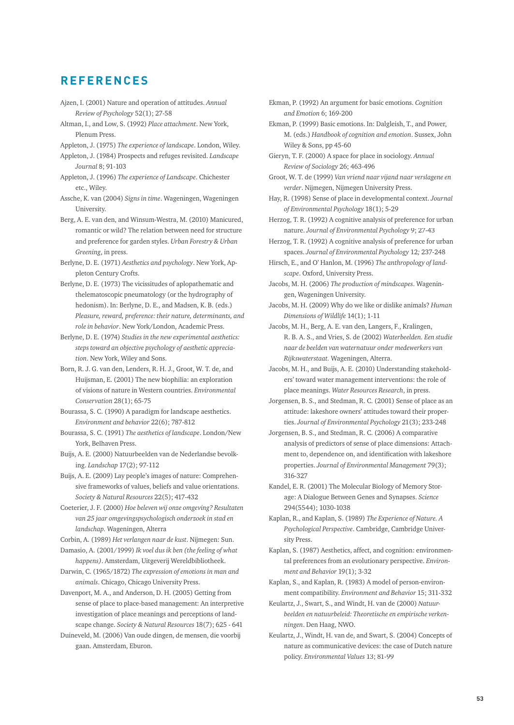### **REFERENCES**

Ajzen, I. (2001) Nature and operation of attitudes. *Annual Review of Psychology* 52(1); 27-58

Altman, I., and Low, S. (1992) *Place attachment*. New York, Plenum Press.

- Appleton, J. (1975) *The experience of landscape*. London, Wiley.
- Appleton, J. (1984) Prospects and refuges revisited. *Landscape Journal* 8; 91-103
- Appleton, J. (1996) *The experience of Landscape*. Chichester etc., Wiley.
- Assche, K. van (2004) *Signs in time*. Wageningen, Wageningen University.
- Berg, A. E. van den, and Winsum-Westra, M. (2010) Manicured, romantic or wild? The relation between need for structure and preference for garden styles. *Urban Forestry & Urban Greening*, in press.
- Berlyne, D. E. (1971) *Aesthetics and psychology*. New York, Appleton Century Crofts.
- Berlyne, D. E. (1973) The vicissitudes of aplopathematic and thelematoscopic pneumatology (or the hydrography of hedonism). In: Berlyne, D. E., and Madsen, K. B. (eds.) *Pleasure, reward, preference: their nature, determinants, and role in behavior*. New York/London, Academic Press.

Berlyne, D. E. (1974) *Studies in the new experimental aesthetics: steps toward an objective psychology of aesthetic appreciation*. New York, Wiley and Sons.

- Born, R. J. G. van den, Lenders, R. H. J., Groot, W. T. de, and Huijsman, E. (2001) The new biophilia: an exploration of visions of nature in Western countries. *Environmental Conservation* 28(1); 65-75
- Bourassa, S. C. (1990) A paradigm for landscape aesthetics. *Environment and behavior* 22(6); 787-812
- Bourassa, S. C. (1991) *The aesthetics of landscape*. London/New York, Belhaven Press.
- Buijs, A. E. (2000) Natuurbeelden van de Nederlandse bevolking. *Landschap* 17(2); 97-112
- Buijs, A. E. (2009) Lay people's images of nature: Comprehensive frameworks of values, beliefs and value orientations. *Society & Natural Resources* 22(5); 417-432

Coeterier, J. F. (2000) *Hoe beleven wij onze omgeving? Resultaten van 25 jaar omgevingspsychologisch onderzoek in stad en landschap.* Wageningen, Alterra

Corbin, A. (1989) *Het verlangen naar de kust*. Nijmegen: Sun.

Damasio, A. (2001/1999) *Ik voel dus ik ben (the feeling of what happens)*. Amsterdam, Uitgeverij Wereldbibliotheek.

Darwin, C. (1965/1872) *The expression of emotions in man and animals*. Chicago, Chicago University Press.

Davenport, M. A., and Anderson, D. H. (2005) Getting from sense of place to place-based management: An interpretive investigation of place meanings and perceptions of landscape change. *Society & Natural Resources* 18(7); 625 - 641

Duineveld, M. (2006) Van oude dingen, de mensen, die voorbij gaan. Amsterdam, Eburon.

- Ekman, P. (1992) An argument for basic emotions. *Cognition and Emotion* 6; 169-200
- Ekman, P. (1999) Basic emotions. In: Dalgleish, T., and Power, M. (eds.) *Handbook of cognition and emotion*. Sussex, John Wiley & Sons, pp 45-60
- Gieryn, T. F. (2000) A space for place in sociology. *Annual Review of Sociology* 26; 463-496
- Groot, W. T. de (1999) *Van vriend naar vijand naar verslagene en verder*. Nijmegen, Nijmegen University Press.
- Hay, R. (1998) Sense of place in developmental context. *Journal of Environmental Psychology* 18(1); 5-29
- Herzog, T. R. (1992) A cognitive analysis of preference for urban nature. *Journal of Environmental Psychology* 9; 27-43
- Herzog, T. R. (1992) A cognitive analysis of preference for urban spaces. *Journal of Environmental Psychology* 12*;* 237-248
- Hirsch, E., and O' Hanlon, M. (1996) *The anthropology of landscape*. Oxford, University Press.
- Jacobs, M. H. (2006) *The production of mindscapes*. Wageningen, Wageningen University.
- Jacobs, M. H. (2009) Why do we like or dislike animals? *Human Dimensions of Wildlife* 14(1); 1-11
- Jacobs, M. H., Berg, A. E. van den, Langers, F., Kralingen, R. B. A. S., and Vries, S. de (2002) *Waterbeelden. Een studie naar de beelden van waternatuur onder medewerkers van Rijkswaterstaat.* Wageningen, Alterra.
- Jacobs, M. H., and Buijs, A. E. (2010) Understanding stakeholders' toward water management interventions: the role of place meanings. *Water Resources Research*, in press.
- Jorgensen, B. S., and Stedman, R. C. (2001) Sense of place as an attitude: lakeshore owners' attitudes toward their properties. *Journal of Environmental Psychology* 21(3); 233-248
- Jorgensen, B. S., and Stedman, R. C. (2006) A comparative analysis of predictors of sense of place dimensions: Attachment to, dependence on, and identification with lakeshore properties. *Journal of Environmental Management* 79(3); 316-327
- Kandel, E. R. (2001) The Molecular Biology of Memory Storage: A Dialogue Between Genes and Synapses. *Science*  294(5544); 1030-1038
- Kaplan, R., and Kaplan, S. (1989) *The Experience of Nature. A Psychological Perspective*. Cambridge, Cambridge University Press.
- Kaplan, S. (1987) Aesthetics, affect, and cognition: environmental preferences from an evolutionary perspective. *Environment and Behavior* 19(1); 3-32
- Kaplan, S., and Kaplan, R. (1983) A model of person-environment compatibility. *Environment and Behavior* 15; 311-332
- Keulartz, J., Swart, S., and Windt, H. van de (2000) *Natuurbeelden en natuurbeleid: Theoretische en empirische verkenningen*. Den Haag, NWO.
- Keulartz, J., Windt, H. van de, and Swart, S. (2004) Concepts of nature as communicative devices: the case of Dutch nature policy. *Environmental Values* 13; 81-99